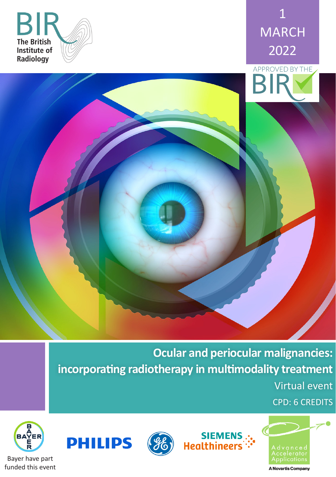





**Ocular and periocular malignancies: incorporating radiotherapy in multimodality treatment** Virtual event

SIEMENS<br>"∴'Healthineers

CPD: 6 CREDITS







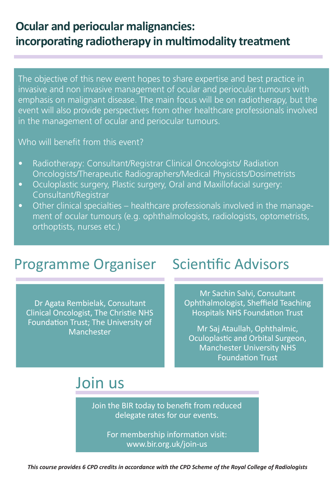## **Ocular and periocular malignancies: incorporating radiotherapy in multimodality treatment**

The objective of this new event hopes to share expertise and best practice in invasive and non invasive management of ocular and periocular tumours with emphasis on malignant disease. The main focus will be on radiotherapy, but the event will also provide perspectives from other healthcare professionals involved in the management of ocular and periocular tumours.

Who will benefit from this event?

- Radiotherapy: Consultant/Registrar Clinical Oncologists/ Radiation Oncologists/Therapeutic Radiographers/Medical Physicists/Dosimetrists
- Oculoplastic surgery, Plastic surgery, Oral and Maxillofacial surgery: Consultant/Registrar
- Other clinical specialties healthcare professionals involved in the management of ocular tumours (e.g. ophthalmologists, radiologists, optometrists, orthoptists, nurses etc.)

## Programme Organiser Scientific Advisors

Dr Agata Rembielak, Consultant Clinical Oncologist, The Christie NHS Foundation Trust; The University of Manchester

Mr Sachin Salvi, Consultant Ophthalmologist, Sheffield Teaching Hospitals NHS Foundation Trust

Mr Saj Ataullah, Ophthalmic, Oculoplastic and Orbital Surgeon, Manchester University NHS Foundation Trust

## Join us

Join the BIR today to benefit from reduced delegate rates for our events.

> For membership information visit: www.bir.org.uk/join-us

*This course provides 6 CPD credits in accordance with the CPD Scheme of the Royal College of Radiologists*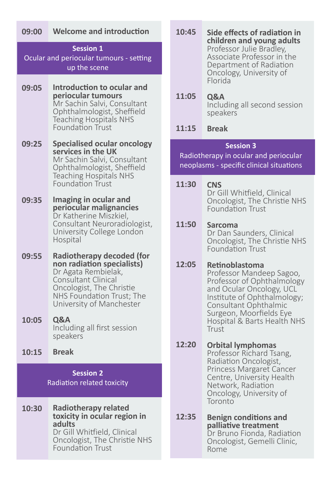### **Welcome and introduction 09:00**

### **Session 1**

Ocular and periocular tumours - setting up the scene

- **Introduction to ocular and periocular tumours** Mr Sachin Salvi, Consultant Ophthalmologist, Sheffield Teaching Hospitals NHS Foundation Trust **09:05**
- **Specialised ocular oncology services in the UK** Mr Sachin Salvi, Consultant Ophthalmologist, Sheffield Teaching Hospitals NHS Foundation Trust **09:25**
- **Imaging in ocular and periocular malignancies** Dr Katherine Miszkiel, Consultant Neuroradiologist, University College London Hospital **09:35**
- **Radiotherapy decoded (for non radiation specialists)** Dr Agata Rembielak, Consultant Clinical Oncologist, The Christie NHS Foundation Trust; The University of Manchester **09:55**
- **Q&A** Including all first session speakers **10:05**
- **Break 10:15**

## **Session 2** Radiation related toxicity

**Radiotherapy related toxicity in ocular region in adults** Dr Gill Whitfield, Clinical Oncologist, The Christie NHS Foundation Trust **10:30**

- **Side effects of radiation in children and young adults** Professor Julie Bradley, Associate Professor in the Department of Radiation Oncology, University of Florida **10:45**
- **Q&A** Including all second session speakers **11:05**
- **Break 11:15**

### **Session 3**

Radiotherapy in ocular and periocular neoplasms - specific clinical situations

**CNS 11:30**

Dr Gill Whitfield, Clinical Oncologist, The Christie NHS Foundation Trust

#### **Sarcoma 11:50**

Dr Dan Saunders, Clinical Oncologist, The Christie NHS Foundation Trust

#### **Retinoblastoma 12:05**

Professor Mandeep Sagoo, Professor of Ophthalmology and Ocular Oncology, UCL Institute of Ophthalmology; Consultant Ophthalmic Surgeon, Moorfields Eye Hospital & Barts Health NHS Trust

#### **Orbital lymphomas 12:20**

Professor Richard Tsang, Radiation Oncologist, Princess Margaret Cancer Centre, University Health Network, Radiation Oncology, University of Toronto

**Benign conditions and palliative treatment** Dr Bruno Fionda, Radiation Oncologist, Gemelli Clinic, Rome **12:35**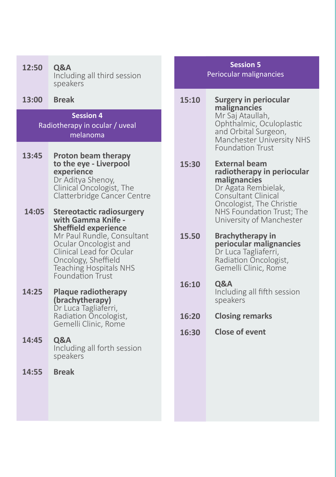| 12:50 | Q&A<br>Including all third session<br>speakers                                                                                                                                                                                                              |              |
|-------|-------------------------------------------------------------------------------------------------------------------------------------------------------------------------------------------------------------------------------------------------------------|--------------|
| 13:00 | <b>Break</b>                                                                                                                                                                                                                                                | 15:1         |
|       | <b>Session 4</b><br>Radiotherapy in ocular / uveal<br>melanoma                                                                                                                                                                                              |              |
| 13:45 | <b>Proton beam therapy</b><br>to the eye - Liverpool<br>experience<br>Dr Aditya Shenoy,<br>Clinical Oncologist, The<br>Clatterbridge Cancer Centre                                                                                                          | 15:3         |
| 14:05 | <b>Stereotactic radiosurgery</b><br>with Gamma Knife -<br><b>Sheffield experience</b><br>Mr Paul Rundle, Consultant<br>Ocular Oncologist and<br>Clinical Lead for Ocular<br>Oncology, Sheffield<br><b>Teaching Hospitals NHS</b><br><b>Foundation Trust</b> | 15.5         |
| 14:25 | <b>Plaque radiotherapy</b><br>(brachytherapy)<br>Dr Luca Tagliaferri,<br>Radiation Oncologist,<br>Gemelli Clinic, Rome                                                                                                                                      | 16:1<br>16:2 |
| 14:45 | <b>Q&amp;A</b><br>Including all forth session<br>speakers                                                                                                                                                                                                   | 16:3         |
| 14:55 | <b>Break</b>                                                                                                                                                                                                                                                |              |

### **Session 5** Periocular malignancies

**Surgery in periocular malignancies** Mr Saj Ataullah, Ophthalmic, Oculoplastic and Orbital Surgeon, Manchester University NHS Foundation Trust **15:10**

**External beam radiotherapy in periocular malignancies** Dr Agata Rembielak, Consultant Clinical Oncologist, The Christie NHS Foundation Trust; The University of Manchester **15:30**

**Brachytherapy in periocular malignancies** Dr Luca Tagliaferri, Radiation Oncologist, Gemelli Clinic, Rome **15.50**

**Q&A** Including all fifth session speakers **16:10**

- **Closing remarks 16:20**
- **Close of event 16:30**